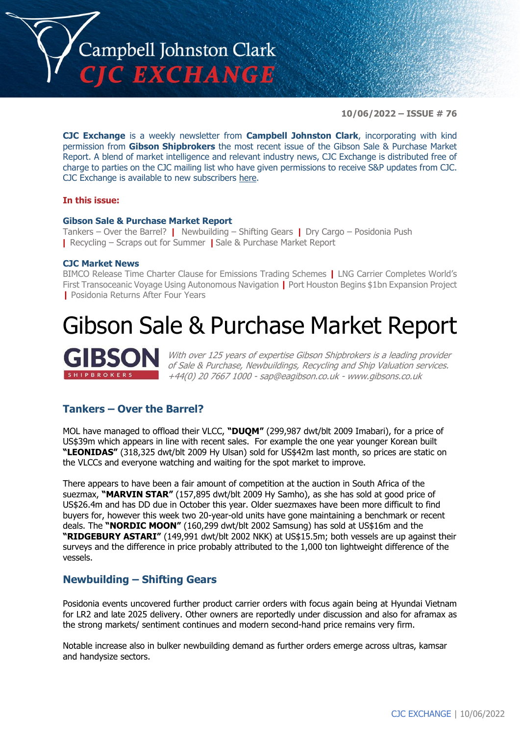

**10/06/2022 – ISSUE # 76**

**CJC Exchange** is a weekly newsletter from **Campbell Johnston Clark**, incorporating with kind permission from **Gibson Shipbrokers** the most recent issue of the Gibson Sale & Purchase Market Report. A blend of market intelligence and relevant industry news, CJC Exchange is distributed free of charge to parties on the CJC mailing list who have given permissions to receive S&P updates from CJC. CJC Exchange is available to new subscribers [here.](mailto:jamesc@cjclaw.com?subject=CJC%20Exchange%20sign-up)

### **In this issue:**

#### **Gibson Sale & Purchase Market Report**

Tankers – Over the Barrel? **|** Newbuilding – Shifting Gears **|** Dry Cargo – Posidonia Push **|** Recycling – Scraps out for Summer **|** Sale & Purchase Market Report

#### **CJC Market News**

BIMCO Release Time Charter Clause for Emissions Trading Schemes **|** LNG Carrier Completes World's First Transoceanic Voyage Using Autonomous Navigation **|** Port Houston Begins \$1bn Expansion Project **|** Posidonia Returns After Four Years

## Gibson Sale & Purchase Market Report



With over 125 years of expertise Gibson Shipbrokers is a leading provider of Sale & Purchase, Newbuildings, Recycling and Ship Valuation services. +44(0) 20 7667 1000 - [sap@eagibson.co.uk](mailto:sap@eagibson.co.uk) - [www.gibsons.co.uk](https://protect-eu.mimecast.com/s/VO6nCGZzRS60KqcK1jQh/)

## **Tankers – Over the Barrel?**

MOL have managed to offload their VLCC, **"DUQM"** (299,987 dwt/blt 2009 Imabari), for a price of US\$39m which appears in line with recent sales. For example the one year younger Korean built **"LEONIDAS"** (318,325 dwt/blt 2009 Hy Ulsan) sold for US\$42m last month, so prices are static on the VLCCs and everyone watching and waiting for the spot market to improve.

There appears to have been a fair amount of competition at the auction in South Africa of the suezmax, **"MARVIN STAR"** (157,895 dwt/blt 2009 Hy Samho), as she has sold at good price of US\$26.4m and has DD due in October this year. Older suezmaxes have been more difficult to find buyers for, however this week two 20-year-old units have gone maintaining a benchmark or recent deals. The **"NORDIC MOON"** (160,299 dwt/blt 2002 Samsung) has sold at US\$16m and the **"RIDGEBURY ASTARI"** (149,991 dwt/blt 2002 NKK) at US\$15.5m; both vessels are up against their surveys and the difference in price probably attributed to the 1,000 ton lightweight difference of the vessels.

### **Newbuilding – Shifting Gears**

Posidonia events uncovered further product carrier orders with focus again being at Hyundai Vietnam for LR2 and late 2025 delivery. Other owners are reportedly under discussion and also for aframax as the strong markets/ sentiment continues and modern second-hand price remains very firm.

Notable increase also in bulker newbuilding demand as further orders emerge across ultras, kamsar and handysize sectors.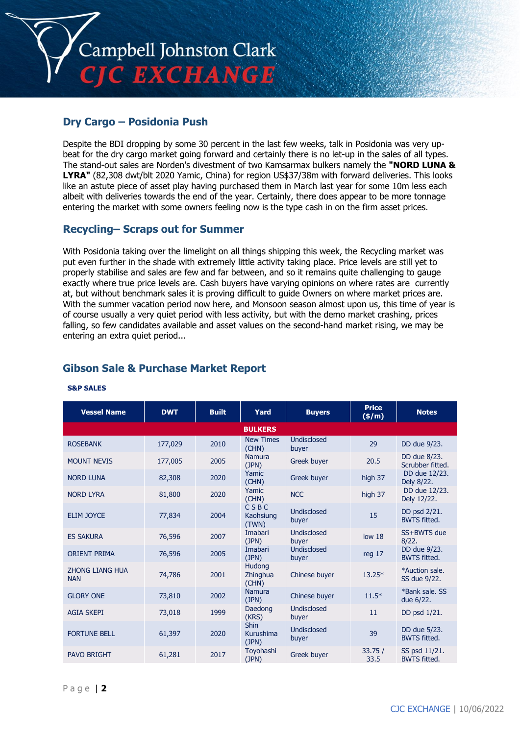

## **Dry Cargo – Posidonia Push**

Despite the BDI dropping by some 30 percent in the last few weeks, talk in Posidonia was very upbeat for the dry cargo market going forward and certainly there is no let-up in the sales of all types. The stand-out sales are Norden's divestment of two Kamsarmax bulkers namely the **"NORD LUNA & LYRA"** (82,308 dwt/blt 2020 Yamic, China) for region US\$37/38m with forward deliveries. This looks like an astute piece of asset play having purchased them in March last year for some 10m less each albeit with deliveries towards the end of the year. Certainly, there does appear to be more tonnage entering the market with some owners feeling now is the type cash in on the firm asset prices.

## **Recycling– Scraps out for Summer**

With Posidonia taking over the limelight on all things shipping this week, the Recycling market was put even further in the shade with extremely little activity taking place. Price levels are still yet to properly stabilise and sales are few and far between, and so it remains quite challenging to gauge exactly where true price levels are. Cash buyers have varying opinions on where rates are currently at, but without benchmark sales it is proving difficult to guide Owners on where market prices are. With the summer vacation period now here, and Monsoon season almost upon us, this time of year is of course usually a very quiet period with less activity, but with the demo market crashing, prices falling, so few candidates available and asset values on the second-hand market rising, we may be entering an extra quiet period...

## **Gibson Sale & Purchase Market Report**

| <b>Vessel Name</b>                   | <b>DWT</b> | <b>Built</b> | Yard                              | <b>Buyers</b>               | <b>Price</b><br>(\$/m) | <b>Notes</b>                         |
|--------------------------------------|------------|--------------|-----------------------------------|-----------------------------|------------------------|--------------------------------------|
|                                      |            |              | <b>BULKERS</b>                    |                             |                        |                                      |
| <b>ROSEBANK</b>                      | 177,029    | 2010         | <b>New Times</b><br>(CHN)         | <b>Undisclosed</b><br>buyer | 29                     | DD due 9/23.                         |
| <b>MOUNT NEVIS</b>                   | 177,005    | 2005         | Namura<br>(JPN)                   | Greek buyer                 | 20.5                   | DD due 8/23.<br>Scrubber fitted.     |
| <b>NORD LUNA</b>                     | 82,308     | 2020         | Yamic<br>(CHN)                    | Greek buyer                 | high 37                | DD due 12/23.<br>Dely 8/22.          |
| <b>NORD LYRA</b>                     | 81,800     | 2020         | Yamic<br>(CHN)                    | <b>NCC</b>                  | high 37                | DD due 12/23.<br>Dely 12/22.         |
| <b>ELIM JOYCE</b>                    | 77,834     | 2004         | CSBC<br>Kaohsiung<br>(TWN)        | Undisclosed<br>buyer        | 15                     | DD psd 2/21.<br><b>BWTS fitted.</b>  |
| <b>ES SAKURA</b>                     | 76,596     | 2007         | Imabari<br>(JPN)                  | Undisclosed<br>buyer        | low <sub>18</sub>      | SS+BWTS due<br>8/22.                 |
| <b>ORIENT PRIMA</b>                  | 76,596     | 2005         | Imabari<br>(JPN)                  | <b>Undisclosed</b><br>buyer | reg 17                 | DD due 9/23.<br><b>BWTS fitted.</b>  |
| <b>ZHONG LIANG HUA</b><br><b>NAN</b> | 74,786     | 2001         | Hudong<br>Zhinghua<br>(CHN)       | Chinese buyer               | $13.25*$               | *Auction sale.<br>SS due 9/22.       |
| <b>GLORY ONE</b>                     | 73,810     | 2002         | <b>Namura</b><br>(JPN)            | Chinese buyer               | $11.5*$                | *Bank sale, SS<br>due 6/22.          |
| <b>AGIA SKEPI</b>                    | 73,018     | 1999         | Daedong<br>(KRS)                  | Undisclosed<br>buyer        | 11                     | DD psd 1/21.                         |
| <b>FORTUNE BELL</b>                  | 61,397     | 2020         | <b>Shin</b><br>Kurushima<br>(JPN) | Undisclosed<br>buyer        | 39                     | DD due 5/23.<br><b>BWTS fitted.</b>  |
| <b>PAVO BRIGHT</b>                   | 61,281     | 2017         | Toyohashi<br>(JPN)                | Greek buyer                 | 33.75/<br>33.5         | SS psd 11/21.<br><b>BWTS fitted.</b> |

#### **S&P SALES**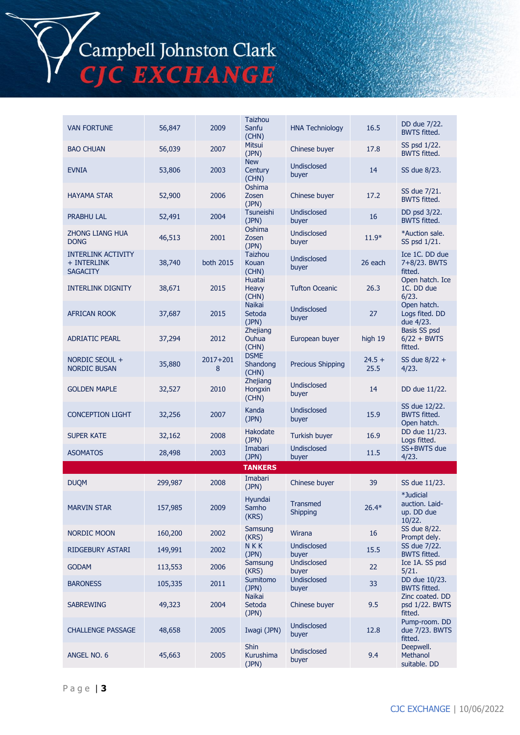Campbell Johnston Clark<br>CJC EXCHANGE

| <b>VAN FORTUNE</b>                                          | 56,847  | 2009          | <b>Taizhou</b><br>Sanfu<br><b>HNA Techniology</b> |                             | 16.5             | DD due 7/22.<br><b>BWTS fitted.</b>                 |
|-------------------------------------------------------------|---------|---------------|---------------------------------------------------|-----------------------------|------------------|-----------------------------------------------------|
| <b>BAO CHUAN</b>                                            | 56,039  | 2007          | (CHN)<br>Mitsui<br>(JPN)                          | Chinese buyer               | 17.8             | SS psd 1/22.<br><b>BWTS fitted.</b>                 |
| <b>EVNIA</b>                                                | 53,806  | 2003          | <b>New</b><br>Century<br>(CHN)                    | <b>Undisclosed</b><br>buyer | 14               | SS due 8/23.                                        |
| <b>HAYAMA STAR</b>                                          | 52,900  | 2006          | Oshima<br>Zosen<br>(JPN)                          | Chinese buyer               | 17.2             | SS due 7/21.<br><b>BWTS fitted.</b>                 |
| PRABHU LAL                                                  | 52,491  | 2004          | Tsuneishi<br>(JPN)                                | <b>Undisclosed</b><br>buyer | 16               | DD psd 3/22.<br><b>BWTS fitted.</b>                 |
| <b>ZHONG LIANG HUA</b><br><b>DONG</b>                       | 46,513  | 2001          | Oshima<br>Zosen<br>(JPN)                          | <b>Undisclosed</b><br>buyer | $11.9*$          | *Auction sale.<br>SS psd 1/21.                      |
| <b>INTERLINK ACTIVITY</b><br>+ INTERLINK<br><b>SAGACITY</b> | 38,740  | both 2015     | Taizhou<br>Kouan<br>(CHN)                         | Undisclosed<br>buyer        | 26 each          | Ice 1C. DD due<br>7+8/23. BWTS<br>fitted.           |
| <b>INTERLINK DIGNITY</b>                                    | 38,671  | 2015          | Huatai<br>Heavy<br>(CHN)                          | <b>Tufton Oceanic</b>       | 26.3             | Open hatch. Ice<br>1C. DD due<br>6/23.              |
| <b>AFRICAN ROOK</b>                                         | 37,687  | 2015          | <b>Naikai</b><br>Setoda<br>(JPN)                  | Undisclosed<br>buyer        | 27               | Open hatch.<br>Logs fited. DD<br>due 4/23.          |
| <b>ADRIATIC PEARL</b>                                       | 37,294  | 2012          | Zhejiang<br>Ouhua<br>(CHN)                        | European buyer              | high 19          | Basis SS psd<br>$6/22 + BWTS$<br>fitted.            |
| NORDIC SEOUL +<br><b>NORDIC BUSAN</b>                       | 35,880  | 2017+201<br>8 | <b>DSME</b><br>Shandong<br>(CHN)                  | <b>Precious Shipping</b>    | $24.5 +$<br>25.5 | SS due 8/22 +<br>4/23.                              |
| <b>GOLDEN MAPLE</b>                                         | 32,527  | 2010          | Zhejiang<br>Hongxin<br>(CHN)                      | Undisclosed<br>buyer        | 14               | DD due 11/22.                                       |
| <b>CONCEPTION LIGHT</b>                                     | 32,256  | 2007          | Kanda<br>(JPN)                                    | Undisclosed<br>buyer        | 15.9             | SS due 12/22.<br><b>BWTS fitted.</b><br>Open hatch. |
| <b>SUPER KATE</b>                                           | 32,162  | 2008          | Hakodate<br>(JPN)                                 | Turkish buyer               | 16.9             | DD due 11/23.<br>Logs fitted.                       |
| <b>ASOMATOS</b>                                             | 28,498  | 2003          | Imabari<br>(JPN)                                  | Undisclosed<br>buyer        | 11.5             | SS+BWTS due<br>4/23.                                |
|                                                             |         |               | <b>TANKERS</b>                                    |                             |                  |                                                     |
| <b>DUQM</b>                                                 | 299,987 | 2008          | Imabari<br>(JPN)                                  | Chinese buyer               | 39               | SS due 11/23.                                       |
| <b>MARVIN STAR</b>                                          | 157,985 | 2009          | Hyundai<br>Samho<br>(KRS)                         | <b>Transmed</b><br>Shipping | $26.4*$          | *Judicial<br>auction. Laid-<br>up. DD due<br>10/22. |
| <b>NORDIC MOON</b>                                          | 160,200 | 2002          | Samsung<br>(KRS)                                  | Wirana                      | 16               | SS due 8/22.<br>Prompt dely.                        |
| RIDGEBURY ASTARI                                            | 149,991 | 2002          | <b>NKK</b><br>(JPN)                               | Undisclosed<br>buyer        | 15.5             | SS due 7/22.<br><b>BWTS fitted.</b>                 |
| <b>GODAM</b>                                                | 113,553 | 2006          | Samsung<br>(KRS)                                  | Undisclosed<br>buyer        | 22               | Ice 1A. SS psd<br>5/21.                             |
| <b>BARONESS</b>                                             | 105,335 | 2011          | Sumitomo<br>(JPN)                                 | Undisclosed<br>buyer        | 33               | DD due 10/23.<br><b>BWTS fitted.</b>                |
| <b>SABREWING</b>                                            | 49,323  | 2004          | Naikai<br>Setoda<br>(JPN)                         | Chinese buyer               | 9.5              | Zinc coated. DD<br>psd 1/22. BWTS<br>fitted.        |
| <b>CHALLENGE PASSAGE</b>                                    | 48,658  | 2005          | Iwagi (JPN)                                       | Undisclosed<br>buyer        | 12.8             | Pump-room. DD<br>due 7/23. BWTS<br>fitted.          |
| ANGEL NO. 6                                                 | 45,663  | 2005          | <b>Shin</b><br>Kurushima<br>(JPN)                 | Undisclosed<br>buyer        | 9.4              | Deepwell.<br>Methanol<br>suitable. DD               |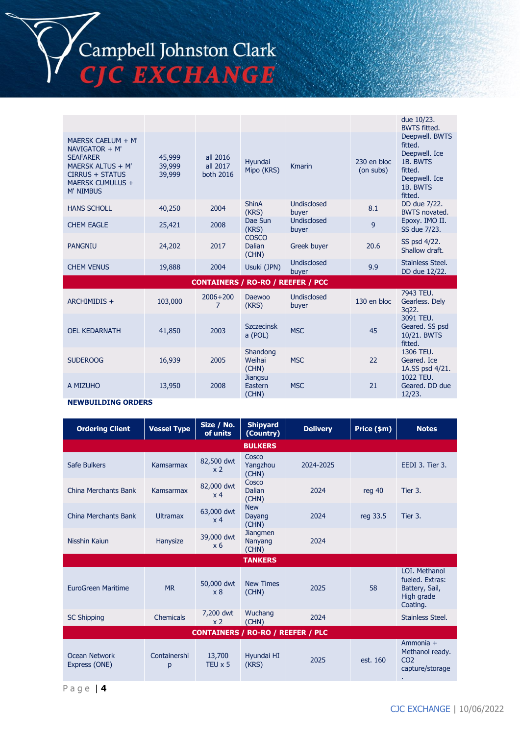

|                                                                                                                                                  |                            |                                   |                                          |                      |                          | due 10/23.<br><b>BWTS fitted.</b>                                                                         |
|--------------------------------------------------------------------------------------------------------------------------------------------------|----------------------------|-----------------------------------|------------------------------------------|----------------------|--------------------------|-----------------------------------------------------------------------------------------------------------|
| MAERSK CAELUM + M'<br>$NAVIGATOR + M'$<br><b>SEAFARER</b><br>MAERSK ALTUS + M'<br><b>CIRRUS + STATUS</b><br>MAERSK CUMULUS +<br><b>M' NIMBUS</b> | 45,999<br>39,999<br>39,999 | all 2016<br>all 2017<br>both 2016 | Hyundai<br>Mipo (KRS)                    | <b>Kmarin</b>        | 230 en bloc<br>(on subs) | Deepwell. BWTS<br>fitted.<br>Deepwell. Ice<br>1B. BWTS<br>fitted.<br>Deepwell. Ice<br>1B. BWTS<br>fitted. |
| <b>HANS SCHOLL</b>                                                                                                                               | 40,250                     | 2004                              | <b>ShinA</b><br>(KRS)                    | Undisclosed<br>buyer | 8.1                      | DD due 7/22.<br><b>BWTS</b> novated.                                                                      |
| <b>CHEM EAGLE</b>                                                                                                                                | 25,421                     | 2008                              | Dae Sun<br>(KRS)                         | Undisclosed<br>buyer | 9                        | Epoxy. IMO II.<br>SS due 7/23.                                                                            |
| <b>PANGNIU</b>                                                                                                                                   | 24,202                     | 2017                              | <b>COSCO</b><br><b>Dalian</b><br>(CHN)   | Greek buyer          | 20.6                     | SS psd 4/22.<br>Shallow draft.                                                                            |
| <b>CHEM VENUS</b>                                                                                                                                | 19,888                     | 2004                              | Usuki (JPN)                              | Undisclosed<br>buyer | 9.9                      | Stainless Steel.<br>DD due 12/22.                                                                         |
|                                                                                                                                                  |                            |                                   | <b>CONTAINERS / RO-RO / REEFER / PCC</b> |                      |                          |                                                                                                           |
| ARCHIMIDIS +                                                                                                                                     | 103,000                    | $2006 + 200$<br>7                 | Daewoo<br>(KRS)                          | Undisclosed<br>buyer | 130 en bloc              | 7943 TEU.<br>Gearless. Dely<br>3q22.                                                                      |
| <b>OEL KEDARNATH</b>                                                                                                                             | 41,850                     | 2003                              | <b>Szczecinsk</b><br>a (POL)             | <b>MSC</b>           | 45                       | 3091 TEU.<br>Geared. SS psd<br>10/21. BWTS<br>fitted.                                                     |
| <b>SUDEROOG</b>                                                                                                                                  | 16,939                     | 2005                              | Shandong<br>Weihai                       | <b>MSC</b>           | 22                       | 1306 TEU.<br>Geared. Ice                                                                                  |

Weihai (CHN)

Jiangsu Eastern (CHN)

MSC 21

#### **NEWBUILDING ORDERS**

A MIZUHO 13,950 2008

| <b>Ordering Client</b>                   | <b>Vessel Type</b> | Size / No.<br>of units       | <b>Shipyard</b><br>(Country)        | <b>Delivery</b> | Price (\$m) | <b>Notes</b>                                                                 |  |
|------------------------------------------|--------------------|------------------------------|-------------------------------------|-----------------|-------------|------------------------------------------------------------------------------|--|
|                                          |                    |                              | <b>BULKERS</b>                      |                 |             |                                                                              |  |
| Safe Bulkers                             | Kamsarmax          | 82,500 dwt<br>x <sub>2</sub> | Cosco<br>Yangzhou<br>(CHN)          | 2024-2025       |             | EEDI 3. Tier 3.                                                              |  |
| China Merchants Bank                     | Kamsarmax          | 82,000 dwt<br>x <sub>4</sub> | Cosco<br>Dalian<br>(CHN)            | 2024            | reg 40      | Tier 3.                                                                      |  |
| China Merchants Bank                     | <b>Ultramax</b>    | 63,000 dwt<br>x <sub>4</sub> | <b>New</b><br>Dayang<br>(CHN)       | 2024            | reg 33.5    | Tier 3.                                                                      |  |
| Nisshin Kaiun                            | Hanysize           | 39,000 dwt<br>x <sub>6</sub> | <b>Jiangmen</b><br>Nanyang<br>(CHN) | 2024            |             |                                                                              |  |
|                                          |                    |                              | <b>TANKERS</b>                      |                 |             |                                                                              |  |
| EuroGreen Maritime                       | <b>MR</b>          | 50,000 dwt<br>x8             | <b>New Times</b><br>(CHN)           | 2025            | 58          | LOI. Methanol<br>fueled. Extras:<br>Battery, Sail,<br>High grade<br>Coating. |  |
| <b>SC Shipping</b>                       | Chemicals          | 7,200 dwt<br>x <sub>2</sub>  | Wuchang<br>(CHN)                    | 2024            |             | Stainless Steel.                                                             |  |
| <b>CONTAINERS / RO-RO / REEFER / PLC</b> |                    |                              |                                     |                 |             |                                                                              |  |
| Ocean Network<br>Express (ONE)           | Containershi<br>p  | 13,700<br>TEU x 5            | Hyundai HI<br>(KRS)                 | 2025            | est. 160    | Ammonia +<br>Methanol ready.<br>CO <sub>2</sub><br>capture/storage<br>٠.     |  |

P a g e | **4**

Geared. Ice 1A.SS psd 4/21.

1022 TEU. Geared. DD due 12/23.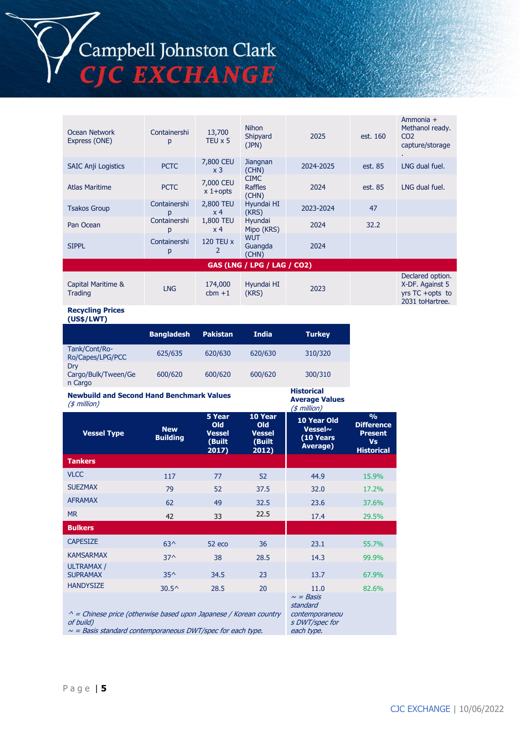Campbell Johnston Clark<br>CJC EXCHANGE

| Ocean Network<br>Express (ONE)     | Containershi<br>p | 13,700<br>TEU $\times$ 5    | <b>Nihon</b><br>Shipyard<br>(JPN) | 2025      | est. 160 | Ammonia +<br>Methanol ready.<br>CO <sub>2</sub><br>capture/storage        |  |  |
|------------------------------------|-------------------|-----------------------------|-----------------------------------|-----------|----------|---------------------------------------------------------------------------|--|--|
| <b>SAIC Anji Logistics</b>         | <b>PCTC</b>       | 7,800 CEU<br>x <sub>3</sub> | Jiangnan<br>(CHN)                 | 2024-2025 | est. 85  | LNG dual fuel.                                                            |  |  |
| <b>Atlas Maritime</b>              | <b>PCTC</b>       | 7,000 CEU<br>$x 1+$ opts    | <b>CIMC</b><br>Raffles<br>(CHN)   | 2024      | est. 85  | LNG dual fuel.                                                            |  |  |
| <b>Tsakos Group</b>                | Containershi<br>p | 2,800 TEU<br>x <sub>4</sub> | Hyundai HI<br>(KRS)               | 2023-2024 | 47       |                                                                           |  |  |
| Pan Ocean                          | Containershi<br>р | 1,800 TEU<br>x <sub>4</sub> | Hyundai<br>Mipo (KRS)             | 2024      | 32.2     |                                                                           |  |  |
| <b>SIPPL</b>                       | Containershi<br>р | <b>120 TEU x</b><br>2       | <b>WUT</b><br>Guangda<br>(CHN)    | 2024      |          |                                                                           |  |  |
| <b>GAS (LNG / LPG / LAG / CO2)</b> |                   |                             |                                   |           |          |                                                                           |  |  |
| Capital Maritime &<br>Trading      | <b>LNG</b>        | 174,000<br>$cbm + 1$        | Hyundai HI<br>(KRS)               | 2023      |          | Declared option.<br>X-DF. Against 5<br>yrs TC +opts to<br>2031 toHartree. |  |  |

**Historical Average Values**

s DWT/spec for each type.

**Recycling Prices (US\$/LWT)**

|                                       | <b>Bangladesh</b> | <b>Pakistan</b> | <b>India</b> | <b>Turkey</b> |
|---------------------------------------|-------------------|-----------------|--------------|---------------|
| Tank/Cont/Ro-<br>Ro/Capes/LPG/PCC     | 625/635           | 620/630         | 620/630      | 310/320       |
| Drv<br>Cargo/Bulk/Tween/Ge<br>n Cargo | 600/620           | 600/620         | 600/620      | 300/310       |

#### **Newbuild and Second Hand Benchmark Values**  $(4$  million)

| $(\varphi$ <i>intervals</i>                                              |                               |                                                   |                                                    | (\$ million)                                           |                                                                                        |
|--------------------------------------------------------------------------|-------------------------------|---------------------------------------------------|----------------------------------------------------|--------------------------------------------------------|----------------------------------------------------------------------------------------|
| <b>Vessel Type</b>                                                       | <b>New</b><br><b>Building</b> | 5 Year<br>Old<br><b>Vessel</b><br>(Built<br>2017) | 10 Year<br>Old<br><b>Vessel</b><br>(Built<br>2012) | 10 Year Old<br><b>Vessel~</b><br>(10 Years<br>Average) | $\frac{0}{0}$<br><b>Difference</b><br><b>Present</b><br><b>Vs</b><br><b>Historical</b> |
| <b>Tankers</b>                                                           |                               |                                                   |                                                    |                                                        |                                                                                        |
| <b>VLCC</b>                                                              | 117                           | 77                                                | 52                                                 | 44.9                                                   | 15.9%                                                                                  |
| <b>SUEZMAX</b>                                                           | 79                            | 52                                                | 37.5                                               | 32.0                                                   | 17.2%                                                                                  |
| <b>AFRAMAX</b>                                                           | 62                            | 49                                                | 32.5                                               | 23.6                                                   | 37.6%                                                                                  |
| <b>MR</b>                                                                | 42                            | 33                                                | 22.5                                               | 17.4                                                   | 29.5%                                                                                  |
| <b>Bulkers</b>                                                           |                               |                                                   |                                                    |                                                        |                                                                                        |
| <b>CAPESIZE</b>                                                          | $63^$                         | 52 eco                                            | 36                                                 | 23.1                                                   | 55.7%                                                                                  |
| <b>KAMSARMAX</b>                                                         | $37^$                         | 38                                                | 28.5                                               | 14.3                                                   | 99.9%                                                                                  |
| <b>ULTRAMAX/</b><br><b>SUPRAMAX</b>                                      | $35^{\wedge}$                 | 34.5                                              | 23                                                 | 13.7                                                   | 67.9%                                                                                  |
| <b>HANDYSIZE</b>                                                         | $30.5^{\circ}$                | 28.5                                              | 20                                                 | 11.0                                                   | 82.6%                                                                                  |
| $\wedge$ = Chinese price (otherwise based upon Japanese / Korean country |                               |                                                   |                                                    | $\sim$ = Basis<br>standard<br>contemporaneou           |                                                                                        |

 $\wedge$  = Chinese price (otherwise based upon Japanese / Korean country of build)

 $\sim$  = Basis standard contemporaneous DWT/spec for each type.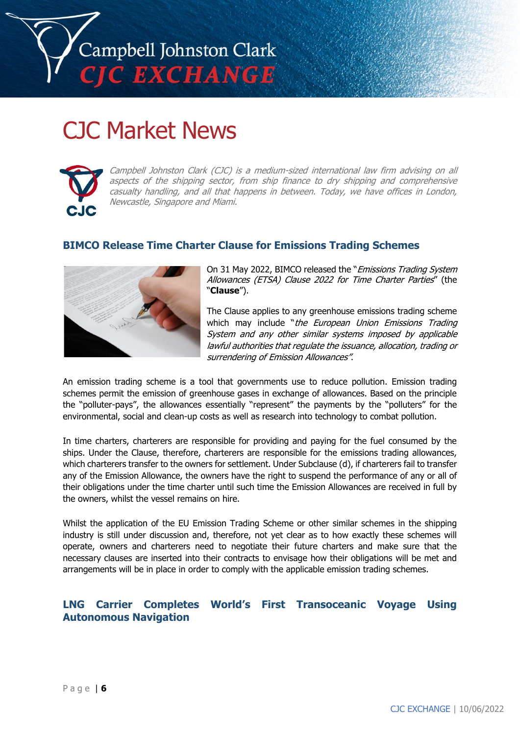

# CJC Market News



Campbell Johnston Clark (CJC) is a medium-sized international law firm advising on all aspects of the shipping sector, from ship finance to dry shipping and comprehensive casualty handling, and all that happens in between. Today, we have offices in London, Newcastle, Singapore and Miami.

## **BIMCO Release Time Charter Clause for Emissions Trading Schemes**



On 31 May 2022, BIMCO released the "Emissions Trading System Allowances (ETSA) Clause 2022 for Time Charter Parties" (the "**Clause**").

The Clause applies to any greenhouse emissions trading scheme which may include "the European Union Emissions Trading System and any other similar systems imposed by applicable lawful authorities that regulate the issuance, allocation, trading or surrendering of Emission Allowances".

An emission trading scheme is a tool that governments use to reduce pollution. Emission trading schemes permit the emission of greenhouse gases in exchange of allowances. Based on the principle the "polluter-pays", the allowances essentially "represent" the payments by the "polluters" for the environmental, social and clean-up costs as well as research into technology to combat pollution.

In time charters, charterers are responsible for providing and paying for the fuel consumed by the ships. Under the Clause, therefore, charterers are responsible for the emissions trading allowances, which charterers transfer to the owners for settlement. Under Subclause (d), if charterers fail to transfer any of the Emission Allowance, the owners have the right to suspend the performance of any or all of their obligations under the time charter until such time the Emission Allowances are received in full by the owners, whilst the vessel remains on hire.

Whilst the application of the EU Emission Trading Scheme or other similar schemes in the shipping industry is still under discussion and, therefore, not yet clear as to how exactly these schemes will operate, owners and charterers need to negotiate their future charters and make sure that the necessary clauses are inserted into their contracts to envisage how their obligations will be met and arrangements will be in place in order to comply with the applicable emission trading schemes.

## **LNG Carrier Completes World's First Transoceanic Voyage Using Autonomous Navigation**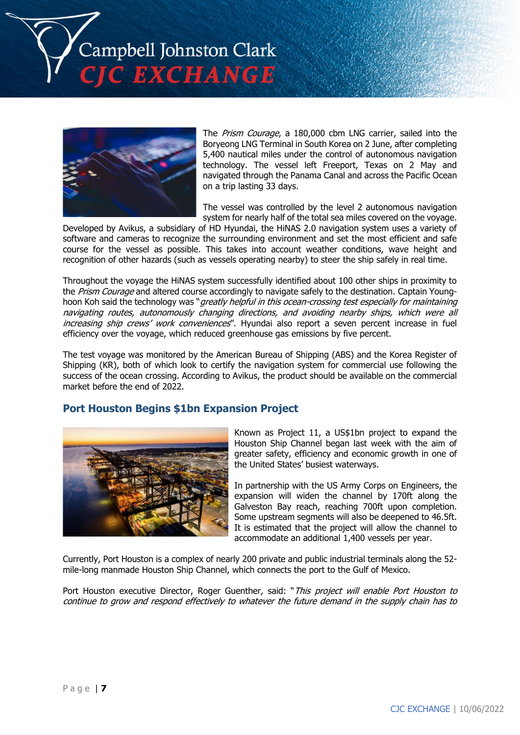



The *Prism Courage*, a 180,000 cbm LNG carrier, sailed into the Boryeong LNG Terminal in South Korea on 2 June, after completing 5,400 nautical miles under the control of autonomous navigation technology. The vessel left Freeport, Texas on 2 May and navigated through the Panama Canal and across the Pacific Ocean on a trip lasting 33 days.

The vessel was controlled by the level 2 autonomous navigation system for nearly half of the total sea miles covered on the voyage.

Developed by Avikus, a subsidiary of HD Hyundai, the HiNAS 2.0 navigation system uses a variety of software and cameras to recognize the surrounding environment and set the most efficient and safe course for the vessel as possible. This takes into account weather conditions, wave height and recognition of other hazards (such as vessels operating nearby) to steer the ship safely in real time.

Throughout the voyage the HiNAS system successfully identified about 100 other ships in proximity to the Prism Courage and altered course accordingly to navigate safely to the destination. Captain Younghoon Koh said the technology was "greatly helpful in this ocean-crossing test especially for maintaining navigating routes, autonomously changing directions, and avoiding nearby ships, which were all increasing ship crews' work conveniences". Hyundai also report a seven percent increase in fuel efficiency over the voyage, which reduced greenhouse gas emissions by five percent.

The test voyage was monitored by the American Bureau of Shipping (ABS) and the Korea Register of Shipping (KR), both of which look to certify the navigation system for commercial use following the success of the ocean crossing. According to Avikus, the product should be available on the commercial market before the end of 2022.

## **Port Houston Begins \$1bn Expansion Project**



Known as Project 11, a US\$1bn project to expand the Houston Ship Channel began last week with the aim of greater safety, efficiency and economic growth in one of the United States' busiest waterways.

In partnership with the US Army Corps on Engineers, the expansion will widen the channel by 170ft along the Galveston Bay reach, reaching 700ft upon completion. Some upstream segments will also be deepened to 46.5ft. It is estimated that the project will allow the channel to accommodate an additional 1,400 vessels per year.

Currently, Port Houston is a complex of nearly 200 private and public industrial terminals along the 52 mile-long manmade Houston Ship Channel, which connects the port to the Gulf of Mexico.

Port Houston executive Director, Roger Guenther, said: "This project will enable Port Houston to continue to grow and respond effectively to whatever the future demand in the supply chain has to